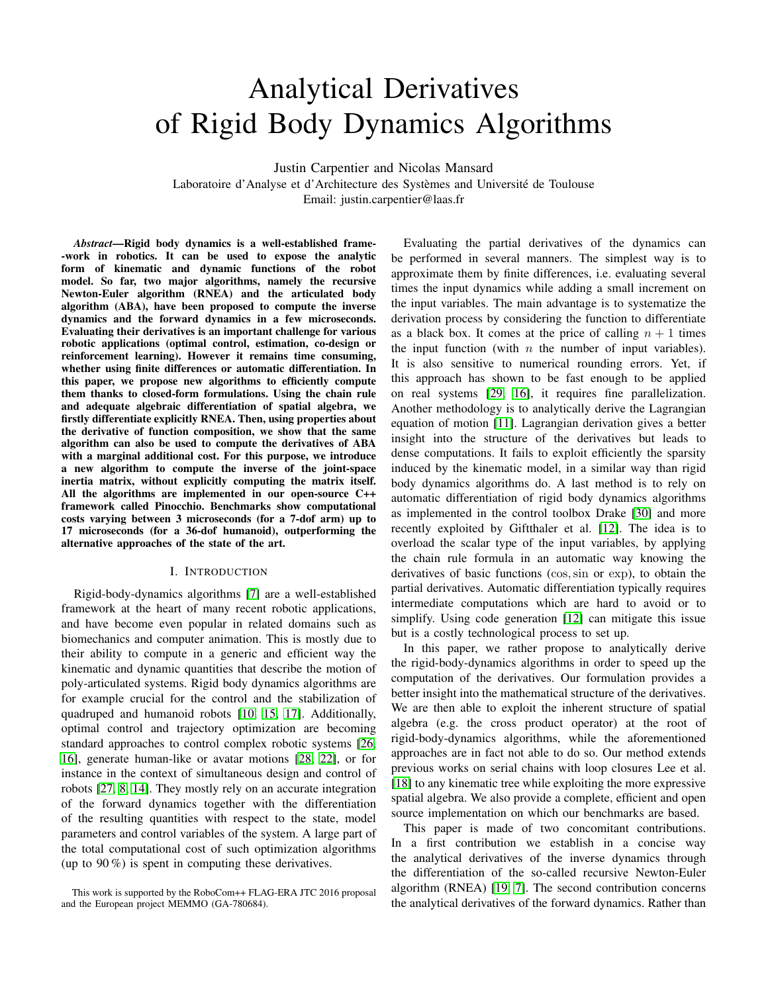# Analytical Derivatives of Rigid Body Dynamics Algorithms

Justin Carpentier and Nicolas Mansard

Laboratoire d'Analyse et d'Architecture des Systèmes and Université de Toulouse Email: justin.carpentier@laas.fr

*Abstract*—Rigid body dynamics is a well-established frame- -work in robotics. It can be used to expose the analytic form of kinematic and dynamic functions of the robot model. So far, two major algorithms, namely the recursive Newton-Euler algorithm (RNEA) and the articulated body algorithm (ABA), have been proposed to compute the inverse dynamics and the forward dynamics in a few microseconds. Evaluating their derivatives is an important challenge for various robotic applications (optimal control, estimation, co-design or reinforcement learning). However it remains time consuming, whether using finite differences or automatic differentiation. In this paper, we propose new algorithms to efficiently compute them thanks to closed-form formulations. Using the chain rule and adequate algebraic differentiation of spatial algebra, we firstly differentiate explicitly RNEA. Then, using properties about the derivative of function composition, we show that the same algorithm can also be used to compute the derivatives of ABA with a marginal additional cost. For this purpose, we introduce a new algorithm to compute the inverse of the joint-space inertia matrix, without explicitly computing the matrix itself. All the algorithms are implemented in our open-source C++ framework called Pinocchio. Benchmarks show computational costs varying between 3 microseconds (for a 7-dof arm) up to 17 microseconds (for a 36-dof humanoid), outperforming the alternative approaches of the state of the art.

#### I. INTRODUCTION

Rigid-body-dynamics algorithms [\[7\]](#page-8-0) are a well-established framework at the heart of many recent robotic applications, and have become even popular in related domains such as biomechanics and computer animation. This is mostly due to their ability to compute in a generic and efficient way the kinematic and dynamic quantities that describe the motion of poly-articulated systems. Rigid body dynamics algorithms are for example crucial for the control and the stabilization of quadruped and humanoid robots [\[10,](#page-8-1) [15,](#page-8-2) [17\]](#page-8-3). Additionally, optimal control and trajectory optimization are becoming standard approaches to control complex robotic systems [\[26,](#page-8-4) [16\]](#page-8-5), generate human-like or avatar motions [\[28,](#page-9-0) [22\]](#page-8-6), or for instance in the context of simultaneous design and control of robots [\[27,](#page-8-7) [8,](#page-8-8) [14\]](#page-8-9). They mostly rely on an accurate integration of the forward dynamics together with the differentiation of the resulting quantities with respect to the state, model parameters and control variables of the system. A large part of the total computational cost of such optimization algorithms (up to  $90\%$ ) is spent in computing these derivatives.

Evaluating the partial derivatives of the dynamics can be performed in several manners. The simplest way is to approximate them by finite differences, i.e. evaluating several times the input dynamics while adding a small increment on the input variables. The main advantage is to systematize the derivation process by considering the function to differentiate as a black box. It comes at the price of calling  $n + 1$  times the input function (with  $n$  the number of input variables). It is also sensitive to numerical rounding errors. Yet, if this approach has shown to be fast enough to be applied on real systems [\[29,](#page-9-1) [16\]](#page-8-5), it requires fine parallelization. Another methodology is to analytically derive the Lagrangian equation of motion [\[11\]](#page-8-10). Lagrangian derivation gives a better insight into the structure of the derivatives but leads to dense computations. It fails to exploit efficiently the sparsity induced by the kinematic model, in a similar way than rigid body dynamics algorithms do. A last method is to rely on automatic differentiation of rigid body dynamics algorithms as implemented in the control toolbox Drake [\[30\]](#page-9-2) and more recently exploited by Giftthaler et al. [\[12\]](#page-8-11). The idea is to overload the scalar type of the input variables, by applying the chain rule formula in an automatic way knowing the derivatives of basic functions (cos,sin or exp), to obtain the partial derivatives. Automatic differentiation typically requires intermediate computations which are hard to avoid or to simplify. Using code generation [\[12\]](#page-8-11) can mitigate this issue but is a costly technological process to set up.

In this paper, we rather propose to analytically derive the rigid-body-dynamics algorithms in order to speed up the computation of the derivatives. Our formulation provides a better insight into the mathematical structure of the derivatives. We are then able to exploit the inherent structure of spatial algebra (e.g. the cross product operator) at the root of rigid-body-dynamics algorithms, while the aforementioned approaches are in fact not able to do so. Our method extends previous works on serial chains with loop closures Lee et al. [\[18\]](#page-8-12) to any kinematic tree while exploiting the more expressive spatial algebra. We also provide a complete, efficient and open source implementation on which our benchmarks are based.

This paper is made of two concomitant contributions. In a first contribution we establish in a concise way the analytical derivatives of the inverse dynamics through the differentiation of the so-called recursive Newton-Euler algorithm (RNEA) [\[19,](#page-8-13) [7\]](#page-8-0). The second contribution concerns the analytical derivatives of the forward dynamics. Rather than

This work is supported by the RoboCom++ FLAG-ERA JTC 2016 proposal and the European project MEMMO (GA-780684).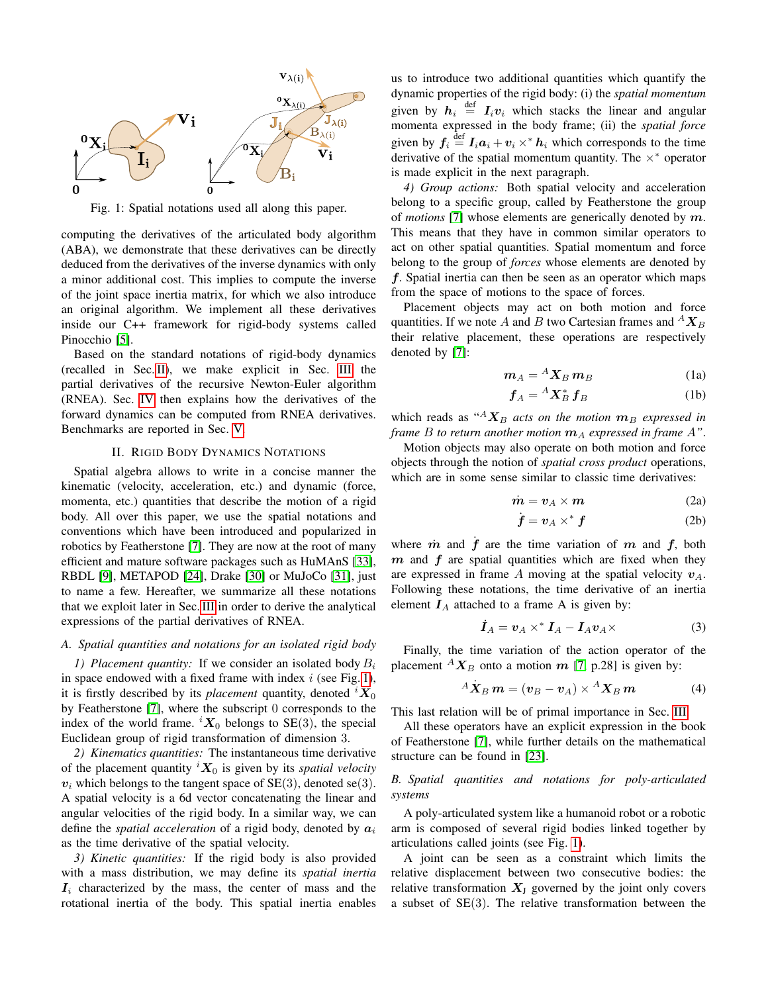<span id="page-1-1"></span>

Fig. 1: Spatial notations used all along this paper.

computing the derivatives of the articulated body algorithm (ABA), we demonstrate that these derivatives can be directly deduced from the derivatives of the inverse dynamics with only a minor additional cost. This implies to compute the inverse of the joint space inertia matrix, for which we also introduce an original algorithm. We implement all these derivatives inside our C++ framework for rigid-body systems called Pinocchio [\[5\]](#page-8-14).

Based on the standard notations of rigid-body dynamics (recalled in Sec. [II\)](#page-1-0), we make explicit in Sec. [III](#page-2-0) the partial derivatives of the recursive Newton-Euler algorithm (RNEA). Sec. [IV](#page-4-0) then explains how the derivatives of the forward dynamics can be computed from RNEA derivatives. Benchmarks are reported in Sec. [V.](#page-6-0)

#### II. RIGID BODY DYNAMICS NOTATIONS

<span id="page-1-0"></span>Spatial algebra allows to write in a concise manner the kinematic (velocity, acceleration, etc.) and dynamic (force, momenta, etc.) quantities that describe the motion of a rigid body. All over this paper, we use the spatial notations and conventions which have been introduced and popularized in robotics by Featherstone [\[7\]](#page-8-0). They are now at the root of many efficient and mature software packages such as HuMAnS [\[33\]](#page-9-3), RBDL [\[9\]](#page-8-15), METAPOD [\[24\]](#page-8-16), Drake [\[30\]](#page-9-2) or MuJoCo [\[31\]](#page-9-4), just to name a few. Hereafter, we summarize all these notations that we exploit later in Sec. [III](#page-2-0) in order to derive the analytical expressions of the partial derivatives of RNEA.

## *A. Spatial quantities and notations for an isolated rigid body*

*1) Placement quantity:* If we consider an isolated body  $B_i$ in space endowed with a fixed frame with index  $i$  (see Fig. [1\)](#page-1-1), it is firstly described by its *placement* quantity, denoted  ${}^{i}X_{0}$ by Featherstone [\[7\]](#page-8-0), where the subscript 0 corresponds to the index of the world frame.  ${}^{i}X_{0}$  belongs to SE(3), the special Euclidean group of rigid transformation of dimension 3.

*2) Kinematics quantities:* The instantaneous time derivative of the placement quantity  ${}^{i}X_{0}$  is given by its *spatial velocity*  $v_i$  which belongs to the tangent space of SE(3), denoted se(3). A spatial velocity is a 6d vector concatenating the linear and angular velocities of the rigid body. In a similar way, we can define the *spatial acceleration* of a rigid body, denoted by  $a_i$ as the time derivative of the spatial velocity.

*3) Kinetic quantities:* If the rigid body is also provided with a mass distribution, we may define its *spatial inertia*  $I_i$  characterized by the mass, the center of mass and the rotational inertia of the body. This spatial inertia enables us to introduce two additional quantities which quantify the dynamic properties of the rigid body: (i) the *spatial momentum* given by  $h_i \stackrel{\text{def}}{=} I_i v_i$  which stacks the linear and angular momenta expressed in the body frame; (ii) the *spatial force* given by  $f_i \stackrel{\text{def}}{=} I_i a_i + v_i \times^* h_i$  which corresponds to the time derivative of the spatial momentum quantity. The  $\times$ <sup>\*</sup> operator is made explicit in the next paragraph.

*4) Group actions:* Both spatial velocity and acceleration belong to a specific group, called by Featherstone the group of *motions* [\[7\]](#page-8-0) whose elements are generically denoted by m. This means that they have in common similar operators to act on other spatial quantities. Spatial momentum and force belong to the group of *forces* whose elements are denoted by f. Spatial inertia can then be seen as an operator which maps from the space of motions to the space of forces.

Placement objects may act on both motion and force quantities. If we note A and B two Cartesian frames and  ${}^A X_B$ their relative placement, these operations are respectively denoted by [\[7\]](#page-8-0):

$$
m_A = {}^A X_B m_B \tag{1a}
$$

$$
\boldsymbol{f}_A = {}^A \boldsymbol{X}_B^* \boldsymbol{f}_B \tag{1b}
$$

which reads as " $A_{\mathbf{X}_B}$  *acts on the motion*  $\mathbf{m}_B$  *expressed in frame B to return another motion*  $m_A$  *expressed in frame*  $A$ ".

Motion objects may also operate on both motion and force objects through the notion of *spatial cross product* operations, which are in some sense similar to classic time derivatives:

$$
\dot{\boldsymbol{m}} = \boldsymbol{v}_A \times \boldsymbol{m} \tag{2a}
$$

$$
\dot{\boldsymbol{f}} = \boldsymbol{v}_A \times^* \boldsymbol{f} \tag{2b}
$$

where  $\dot{m}$  and  $\dot{f}$  are the time variation of  $m$  and  $f$ , both  $m$  and  $f$  are spatial quantities which are fixed when they are expressed in frame A moving at the spatial velocity  $v_A$ . Following these notations, the time derivative of an inertia element  $I_A$  attached to a frame A is given by:

<span id="page-1-2"></span>
$$
\dot{I}_A = v_A \times^* I_A - I_A v_A \times \tag{3}
$$

Finally, the time variation of the action operator of the placement  ${}^A X_B$  onto a motion m [\[7,](#page-8-0) p.28] is given by:

$$
A\dot{\mathbf{X}}_{B}\mathbf{m} = (\mathbf{v}_{B} - \mathbf{v}_{A}) \times {}^{A} \mathbf{X}_{B}\mathbf{m}
$$
 (4)

This last relation will be of primal importance in Sec. [III.](#page-2-0)

All these operators have an explicit expression in the book of Featherstone [\[7\]](#page-8-0), while further details on the mathematical structure can be found in [\[23\]](#page-8-17).

## *B. Spatial quantities and notations for poly-articulated systems*

A poly-articulated system like a humanoid robot or a robotic arm is composed of several rigid bodies linked together by articulations called joints (see Fig. [1\)](#page-1-1).

A joint can be seen as a constraint which limits the relative displacement between two consecutive bodies: the relative transformation  $X_J$  governed by the joint only covers a subset of  $SE(3)$ . The relative transformation between the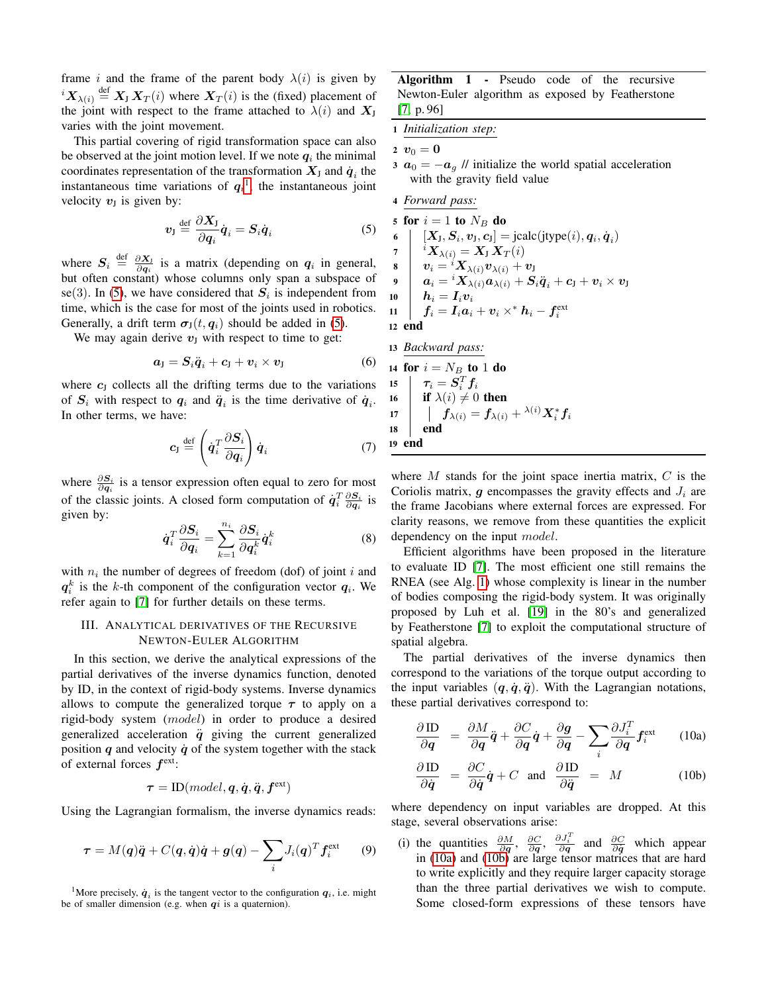frame i and the frame of the parent body  $\lambda(i)$  is given by  ${}^{i}X_{\lambda(i)} \stackrel{\text{def}}{=} X_{J} X_{T}(i)$  where  $X_{T}(i)$  is the (fixed) placement of the joint with respect to the frame attached to  $\lambda(i)$  and  $X_J$ varies with the joint movement.

This partial covering of rigid transformation space can also be observed at the joint motion level. If we note  $q_i$  the minimal coordinates representation of the transformation  $X_{\text{J}}$  and  $\dot{\boldsymbol{q}}_i$  the instantaneous time variations of  $q_i$ <sup>[1](#page-2-1)</sup>, the instantaneous joint velocity  $v_J$  is given by:

<span id="page-2-2"></span>
$$
v_{\rm J} \stackrel{\rm def}{=} \frac{\partial X_{\rm J}}{\partial q_i} \dot{q}_i = S_i \dot{q}_i \tag{5}
$$

where  $S_i \stackrel{\text{def}}{=} \frac{\partial X_j}{\partial q_i}$  is a matrix (depending on  $q_i$  in general, but often constant) whose columns only span a subspace of se(3). In [\(5\)](#page-2-2), we have considered that  $S_i$  is independent from time, which is the case for most of the joints used in robotics. Generally, a drift term  $\sigma_{\rm J}(t, q_i)$  should be added in [\(5\)](#page-2-2).

We may again derive  $v_J$  with respect to time to get:

$$
a_{\mathrm{J}} = S_i \ddot{q}_i + c_{\mathrm{J}} + v_i \times v_{\mathrm{J}} \tag{6}
$$

where  $c_J$  collects all the drifting terms due to the variations of  $S_i$  with respect to  $q_i$  and  $\ddot{q}_i$  is the time derivative of  $\dot{q}_i$ . In other terms, we have:

$$
c_{\rm J} \stackrel{\text{def}}{=} \left( \dot{q}_i^T \frac{\partial S_i}{\partial q_i} \right) \dot{q}_i \tag{7}
$$

where  $\frac{\partial S_i}{\partial q_i}$  is a tensor expression often equal to zero for most of the classic joints. A closed form computation of  $\dot{q}_i^T \frac{\partial S_i}{\partial q_i}$  is given by:

$$
\dot{\boldsymbol{q}}_i^T \frac{\partial \boldsymbol{S}_i}{\partial \boldsymbol{q}_i} = \sum_{k=1}^{n_i} \frac{\partial \boldsymbol{S}_i}{\partial \boldsymbol{q}_i^k} \dot{\boldsymbol{q}}_i^k \tag{8}
$$

with  $n_i$  the number of degrees of freedom (dof) of joint i and  $q_i^k$  is the k-th component of the configuration vector  $q_i$ . We refer again to [\[7\]](#page-8-0) for further details on these terms.

## <span id="page-2-0"></span>III. ANALYTICAL DERIVATIVES OF THE RECURSIVE NEWTON-EULER ALGORITHM

In this section, we derive the analytical expressions of the partial derivatives of the inverse dynamics function, denoted by ID, in the context of rigid-body systems. Inverse dynamics allows to compute the generalized torque  $\tau$  to apply on a rigid-body system (model) in order to produce a desired generalized acceleration  $\ddot{q}$  giving the current generalized position  $q$  and velocity  $\dot{q}$  of the system together with the stack of external forces  $f^{\text{ext}}$ :

$$
\boldsymbol{\tau} = \textrm{ID}(model, \boldsymbol{q}, \dot{\boldsymbol{q}}, \ddot{\boldsymbol{q}}, \boldsymbol{f}^{\text{ext}})
$$

<span id="page-2-6"></span>Using the Lagrangian formalism, the inverse dynamics reads:

$$
\boldsymbol{\tau} = M(\boldsymbol{q})\ddot{\boldsymbol{q}} + C(\boldsymbol{q}, \dot{\boldsymbol{q}})\dot{\boldsymbol{q}} + \boldsymbol{g}(\boldsymbol{q}) - \sum_i J_i(\boldsymbol{q})^T \boldsymbol{f}_i^{\text{ext}} \qquad (9)
$$

Algorithm 1 - Pseudo code of the recursive Newton-Euler algorithm as exposed by Featherstone [\[7,](#page-8-0) p. 96]

<span id="page-2-3"></span>1 *Initialization step:*

2  $v_0 = 0$ 

3  $a_0 = -a_g$  // initialize the world spatial acceleration with the gravity field value

4 *Forward pass:*

5 for  $i = 1$  to  $N_B$  do 6  $[X_{\text{J}}, S_{i}, v_{\text{J}}, c_{\text{J}}] = \text{jcalc}(\text{jtype}(i), q_{i}, \dot{q}_{i})$ 7  ${}^{i}X_{\lambda(i)} = X_{\rm J}\,X_T(i)$  $\begin{array}{ccc} \mathbf{8} & & \bm{v}_i = {}^i \bm{X}_{\lambda(i)} \bm{v}_{\lambda(i)} + \bm{v}_{\mathrm{J}} \end{array}$ <sup>9</sup> a<sup>i</sup> = <sup>i</sup>Xλ(i)aλ(i) + Siq¨<sup>i</sup> + c<sup>J</sup> + v<sup>i</sup> × v<sup>J</sup>  $\mathbf{10}$   $\boldsymbol{h}_i = \boldsymbol{I}_i \boldsymbol{v}_i$ <sup>11</sup> f<sup>i</sup> = Iia<sup>i</sup> + v<sup>i</sup> ×<sup>∗</sup> h<sup>i</sup> − f ext i 12 end

13 *Backward pass:*  
\n14 **for** 
$$
i = N_B
$$
 **to** 1 **do**  
\n15  $\tau_i = S_i^T f_i$   
\n16 **if**  $\lambda(i) \neq 0$  **then**  
\n17  $\parallel f_{\lambda(i)} = f_{\lambda(i)} + \lambda(i) X_i^* f_i$   
\n18 **end**  
\n19 **end**

where  $M$  stands for the joint space inertia matrix,  $C$  is the Coriolis matrix,  $g$  encompasses the gravity effects and  $J_i$  are the frame Jacobians where external forces are expressed. For clarity reasons, we remove from these quantities the explicit dependency on the input *model*.

Efficient algorithms have been proposed in the literature to evaluate ID [\[7\]](#page-8-0). The most efficient one still remains the RNEA (see Alg. [1\)](#page-2-3) whose complexity is linear in the number of bodies composing the rigid-body system. It was originally proposed by Luh et al. [\[19\]](#page-8-13) in the 80's and generalized by Featherstone [\[7\]](#page-8-0) to exploit the computational structure of spatial algebra.

The partial derivatives of the inverse dynamics then correspond to the variations of the torque output according to the input variables  $(q, \dot{q}, \ddot{q})$ . With the Lagrangian notations, these partial derivatives correspond to:

<span id="page-2-4"></span>
$$
\frac{\partial \,\mathrm{ID}}{\partial \mathbf{q}} = \frac{\partial M}{\partial \mathbf{q}}\ddot{\mathbf{q}} + \frac{\partial C}{\partial \mathbf{q}}\dot{\mathbf{q}} + \frac{\partial \mathbf{g}}{\partial \mathbf{q}} - \sum_{i} \frac{\partial J_{i}^{T}}{\partial \mathbf{q}} \mathbf{f}_{i}^{\mathrm{ext}} \qquad (10a)
$$

<span id="page-2-5"></span>
$$
\frac{\partial \mathrm{ID}}{\partial \dot{q}} = \frac{\partial C}{\partial \dot{q}} \dot{q} + C \text{ and } \frac{\partial \mathrm{ID}}{\partial \ddot{q}} = M \quad (10b)
$$

where dependency on input variables are dropped. At this stage, several observations arise:

(i) the quantities  $\frac{\partial M}{\partial q}$ ,  $\frac{\partial C}{\partial q}$ ,  $\frac{\partial J_i^T}{\partial q}$  and  $\frac{\partial C}{\partial q}$  which appear in [\(10a\)](#page-2-4) and [\(10b\)](#page-2-5) are large tensor matrices that are hard to write explicitly and they require larger capacity storage than the three partial derivatives we wish to compute. Some closed-form expressions of these tensors have

<span id="page-2-1"></span><sup>&</sup>lt;sup>1</sup>More precisely,  $\dot{q}_i$  is the tangent vector to the configuration  $q_i$ , i.e. might be of smaller dimension (e.g. when  $qi$  is a quaternion).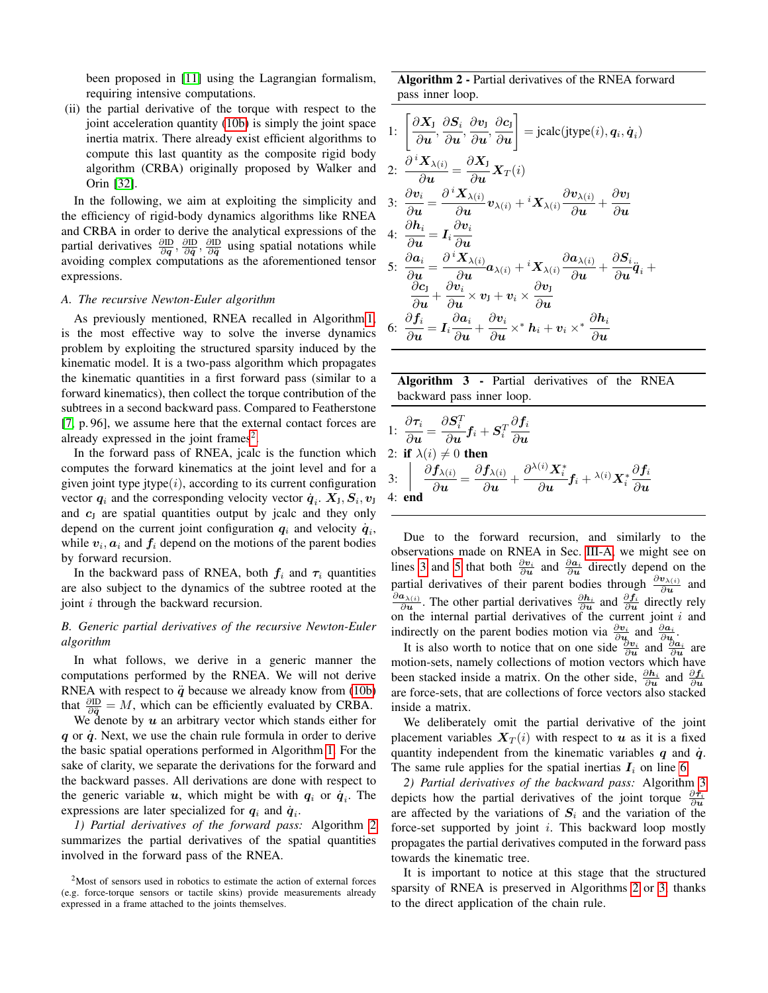been proposed in [\[11\]](#page-8-10) using the Lagrangian formalism, requiring intensive computations.

(ii) the partial derivative of the torque with respect to the joint acceleration quantity [\(10b\)](#page-2-5) is simply the joint space inertia matrix. There already exist efficient algorithms to compute this last quantity as the composite rigid body algorithm (CRBA) originally proposed by Walker and Orin [\[32\]](#page-9-5).

In the following, we aim at exploiting the simplicity and the efficiency of rigid-body dynamics algorithms like RNEA and CRBA in order to derive the analytical expressions of the partial derivatives  $\frac{\partial \mathbf{D}}{\partial \mathbf{q}}, \frac{\partial \mathbf{D}}{\partial \dot{\mathbf{q}}}, \frac{\partial \mathbf{D}}{\partial \dot{\mathbf{q}}}$  using spatial notations while avoiding complex computations as the aforementioned tensor expressions.

#### <span id="page-3-2"></span>*A. The recursive Newton-Euler algorithm*

As previously mentioned, RNEA recalled in Algorithm [1,](#page-2-3) is the most effective way to solve the inverse dynamics problem by exploiting the structured sparsity induced by the kinematic model. It is a two-pass algorithm which propagates the kinematic quantities in a first forward pass (similar to a forward kinematics), then collect the torque contribution of the subtrees in a second backward pass. Compared to Featherstone [\[7,](#page-8-0) p. 96], we assume here that the external contact forces are already expressed in the joint frames<sup>[2](#page-3-0)</sup>.

In the forward pass of RNEA, jcalc is the function which computes the forward kinematics at the joint level and for a given joint type jtype $(i)$ , according to its current configuration vector  $q_i$  and the corresponding velocity vector  $\dot{q}_i$ .  $X_{\text{J}}$ ,  $S_i$ ,  $v_{\text{J}}$ and  $c<sub>J</sub>$  are spatial quantities output by jcalc and they only depend on the current joint configuration  $q_i$  and velocity  $\dot{q}_i$ , while  $v_i$ ,  $a_i$  and  $f_i$  depend on the motions of the parent bodies by forward recursion.

In the backward pass of RNEA, both  $f_i$  and  $\tau_i$  quantities are also subject to the dynamics of the subtree rooted at the joint *i* through the backward recursion.

## *B. Generic partial derivatives of the recursive Newton-Euler algorithm*

In what follows, we derive in a generic manner the computations performed by the RNEA. We will not derive RNEA with respect to  $\ddot{q}$  because we already know from [\(10b\)](#page-2-5) that  $\frac{\partial \mathbf{ID}}{\partial \dot{q}} = M$ , which can be efficiently evaluated by CRBA.

We denote by  $u$  an arbitrary vector which stands either for  $q$  or  $\dot{q}$ . Next, we use the chain rule formula in order to derive the basic spatial operations performed in Algorithm [1.](#page-2-3) For the sake of clarity, we separate the derivations for the forward and the backward passes. All derivations are done with respect to the generic variable  $u$ , which might be with  $q_i$  or  $\dot{q}_i$ . The expressions are later specialized for  $q_i$  and  $\dot{q}_i$ .

*1) Partial derivatives of the forward pass:* Algorithm [2](#page-3-1) summarizes the partial derivatives of the spatial quantities involved in the forward pass of the RNEA.

Algorithm 2 - Partial derivatives of the RNEA forward pass inner loop.

<span id="page-3-9"></span><span id="page-3-8"></span><span id="page-3-7"></span><span id="page-3-3"></span>1: 
$$
\left[\frac{\partial X_{\mathbf{j}}}{\partial u}, \frac{\partial S_{i}}{\partial u}, \frac{\partial v_{\mathbf{j}}}{\partial u}, \frac{\partial c_{\mathbf{j}}}{\partial u}\right] = \text{jcalc}(\text{jtype}(i), q_{i}, \dot{q}_{i})
$$
  
\n2: 
$$
\frac{\partial^{i} X_{\lambda(i)}}{\partial u} = \frac{\partial X_{\mathbf{j}}}{\partial u} X_{T}(i)
$$
  
\n3: 
$$
\frac{\partial v_{i}}{\partial u} = \frac{\partial^{i} X_{\lambda(i)}}{\partial u} v_{\lambda(i)} + i X_{\lambda(i)} \frac{\partial v_{\lambda(i)}}{\partial u} + \frac{\partial v_{\mathbf{j}}}{\partial u}
$$
  
\n4: 
$$
\frac{\partial h_{i}}{\partial u} = I_{i} \frac{\partial v_{i}}{\partial u}
$$
  
\n5: 
$$
\frac{\partial a_{i}}{\partial u} = \frac{\partial^{i} X_{\lambda(i)}}{\partial u} a_{\lambda(i)} + i X_{\lambda(i)} \frac{\partial a_{\lambda(i)}}{\partial u} + \frac{\partial S_{i}}{\partial u} \ddot{q}_{i} + \frac{\partial c_{\mathbf{j}}}{\partial u} + \frac{\partial v_{\mathbf{j}}}{\partial u} \times v_{\mathbf{j}} + v_{\mathbf{i}} \times \frac{\partial v_{\mathbf{j}}}{\partial u}
$$
  
\n6: 
$$
\frac{\partial f_{i}}{\partial u} = I_{i} \frac{\partial a_{i}}{\partial u} + \frac{\partial v_{i}}{\partial u} \times^{*} h_{i} + v_{i} \times^{*} \frac{\partial h_{i}}{\partial u}
$$

<span id="page-3-5"></span><span id="page-3-4"></span><span id="page-3-1"></span>Algorithm 3 - Partial derivatives of the RNEA backward pass inner loop.

<span id="page-3-11"></span><span id="page-3-10"></span><span id="page-3-6"></span>1: 
$$
\frac{\partial \tau_i}{\partial u} = \frac{\partial S_i^T}{\partial u} f_i + S_i^T \frac{\partial f_i}{\partial u}
$$
  
\n2: if  $\lambda(i) \neq 0$  then  
\n3:  $\begin{vmatrix} \frac{\partial f_{\lambda(i)}}{\partial u} = \frac{\partial f_{\lambda(i)}}{\partial u} + \frac{\partial^{\lambda(i)} X_i^*}{\partial u} f_i + \lambda^{(i)} X_i^* \frac{\partial f_i}{\partial u} \end{vmatrix}$   
\n4: end

Due to the forward recursion, and similarly to the observations made on RNEA in Sec. [III-A,](#page-3-2) we might see on lines [3](#page-3-3) and [5](#page-3-4) that both  $\frac{\partial v_i}{\partial u}$  and  $\frac{\partial a_i}{\partial u}$  directly depend on the partial derivatives of their parent bodies through  $\frac{\partial v_{\lambda(i)}}{\partial u}$  and  $\partial \boldsymbol{a}_{\lambda(i)}$  $\frac{\partial \lambda(i)}{\partial u}$ . The other partial derivatives  $\frac{\partial \mathbf{h}_i}{\partial u}$  and  $\frac{\partial \mathbf{f}_i}{\partial u}$  directly rely on the internal partial derivatives of the current joint  $i$  and indirectly on the parent bodies motion via  $\frac{\partial v_i}{\partial u_k}$  and  $\frac{\partial a_i}{\partial u_k}$ .

It is also worth to notice that on one side  $\frac{\partial v_i}{\partial u}$  and  $\frac{\partial a_i}{\partial u}$  are motion-sets, namely collections of motion vectors which have been stacked inside a matrix. On the other side,  $\frac{\partial h_i}{\partial u}$  and  $\frac{\partial f_i}{\partial u}$ are force-sets, that are collections of force vectors also stacked inside a matrix.

We deliberately omit the partial derivative of the joint placement variables  $X_T(i)$  with respect to u as it is a fixed quantity independent from the kinematic variables  $q$  and  $\dot{q}$ . The same rule applies for the spatial inertias  $I_i$  on line [6.](#page-3-5)

*2) Partial derivatives of the backward pass:* Algorithm [3](#page-3-6) depicts how the partial derivatives of the joint torque  $\frac{\partial \tau_i}{\partial u}$ are affected by the variations of  $S_i$  and the variation of the force-set supported by joint  $i$ . This backward loop mostly propagates the partial derivatives computed in the forward pass towards the kinematic tree.

It is important to notice at this stage that the structured sparsity of RNEA is preserved in Algorithms [2](#page-3-1) or [3,](#page-3-6) thanks to the direct application of the chain rule.

<span id="page-3-0"></span><sup>2</sup>Most of sensors used in robotics to estimate the action of external forces (e.g. force-torque sensors or tactile skins) provide measurements already expressed in a frame attached to the joints themselves.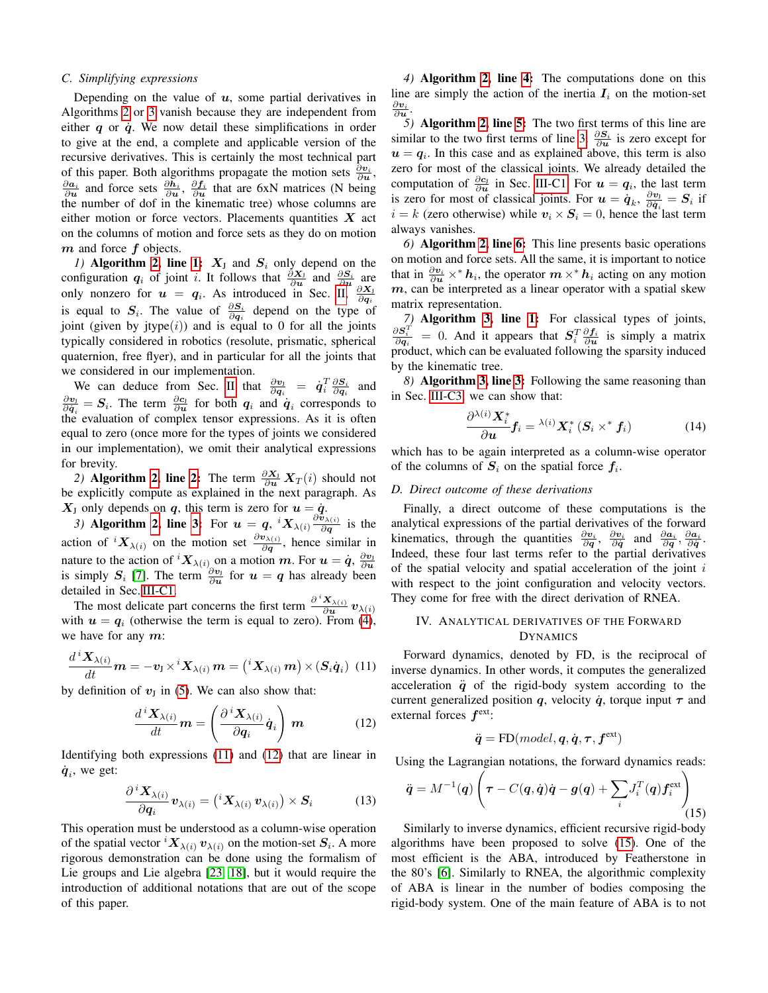### *C. Simplifying expressions*

Depending on the value of  $u$ , some partial derivatives in Algorithms [2](#page-3-1) or [3](#page-3-6) vanish because they are independent from either  $q$  or  $\dot{q}$ . We now detail these simplifications in order to give at the end, a complete and applicable version of the recursive derivatives. This is certainly the most technical part of this paper. Both algorithms propagate the motion sets  $\frac{\partial v_i}{\partial u}$ ,  $\frac{\partial a_i}{\partial u}$  and force sets  $\frac{\partial h_i}{\partial u}$ ,  $\frac{\partial f_i}{\partial u}$  that are 6xN matrices (N being the number of dof in the kinematic tree) whose columns are either motion or force vectors. Placements quantities  $X$  act on the columns of motion and force sets as they do on motion  $m$  and force  $f$  objects.

<span id="page-4-1"></span>*1)* Algorithm [2,](#page-3-1) line [1:](#page-3-7)  $X_J$  and  $S_i$  only depend on the configuration  $q_i$  of joint i. It follows that  $\frac{\partial X_j}{\partial u}$  and  $\frac{\partial S_i}{\partial u}$  are only nonzero for  $u = q_i$ . As introduced in Sec. [II,](#page-1-0)  $\frac{\partial X_i}{\partial q_i}$ <br>is equal to  $S_i$ . The value of  $\frac{\partial S_i}{\partial q_i}$  depend on the type of joint (given by jtype $(i)$ ) and is equal to 0 for all the joints typically considered in robotics (resolute, prismatic, spherical quaternion, free flyer), and in particular for all the joints that we considered in our implementation.

We can deduce from Sec. [II](#page-1-0) that  $\frac{\partial v_1}{\partial q_i} = \dot{q}_i^T \frac{\partial S_i}{\partial q_i}$  and  $\frac{\partial v_1}{\partial \dot{q}_i} = S_i$ . The term  $\frac{\partial c_1}{\partial u}$  for both  $q_i$  and  $\dot{q}_i$  corresponds to the evaluation of complex tensor expressions. As it is often equal to zero (once more for the types of joints we considered in our implementation), we omit their analytical expressions for brevity.

2) Algorithm [2,](#page-3-1) line [2:](#page-3-8) The term  $\frac{\partial X_1}{\partial u} X_T(i)$  should not be explicitly compute as explained in the next paragraph. As  $X_J$  only depends on q, this term is zero for  $u = \dot{q}$ .

<span id="page-4-4"></span>*3*) Algorithm [2,](#page-3-1) line [3:](#page-3-3) For  $u = q$ ,  ${}^{i}X_{\lambda(i)} \frac{\partial \tilde{v}_{\lambda(i)}}{\partial q}$  $\frac{\partial \lambda(i)}{\partial q}$  is the action of  ${}^{i}X_{\lambda(i)}$  on the motion set  $\frac{\partial v_{\lambda(i)}}{\partial q}$ , hence similar in nature to the action of  ${}^{i}X_{\lambda(i)}$  on a motion m. For  $u = \dot{q}$ ,  $\frac{\partial v_{j}}{\partial u}$ is simply  $S_i$  [\[7\]](#page-8-0). The term  $\frac{\partial v_j}{\partial u}$  for  $u = q$  has already been detailed in Sec. [III-C1.](#page-4-1)

The most delicate part concerns the first term  $\frac{\partial^{i} X_{\lambda(i)}}{\partial u}$  $\frac{\boldsymbol{\Lambda}_{\lambda(i)}}{\partial \boldsymbol{u}}\,\boldsymbol{v}_{\lambda(i)}$ with  $u = q_i$  (otherwise the term is equal to zero). From [\(4\)](#page-1-2), we have for any  $m$ :

$$
\frac{d^{i}\mathbf{X}_{\lambda(i)}}{dt}\mathbf{m}=-\mathbf{v}_{\mathsf{J}}\times^{i}\mathbf{X}_{\lambda(i)}\mathbf{m}={i\mathbf{X}_{\lambda(i)}\mathbf{m}}\times(\mathbf{S}_{i}\dot{\mathbf{q}}_{i})\ \ (11)
$$

by definition of  $v_j$  in [\(5\)](#page-2-2). We can also show that:

<span id="page-4-2"></span>
$$
\frac{d^{i}\mathbf{X}_{\lambda(i)}}{dt}\mathbf{m} = \left(\frac{\partial^{i}\mathbf{X}_{\lambda(i)}}{\partial \mathbf{q}_{i}}\dot{\mathbf{q}}_{i}\right)\mathbf{m} \tag{12}
$$

Identifying both expressions [\(11\)](#page-4-2) and [\(12\)](#page-4-3) that are linear in  $\dot{q}_i$ , we get:

$$
\frac{\partial^{i} \mathbf{X}_{\lambda(i)}}{\partial \mathbf{q}_{i}} \mathbf{v}_{\lambda(i)} = \left( \,^{i} \mathbf{X}_{\lambda(i)} \mathbf{v}_{\lambda(i)} \right) \times \mathbf{S}_{i} \tag{13}
$$

This operation must be understood as a column-wise operation of the spatial vector  ${}^{i}X_{\lambda(i)}v_{\lambda(i)}$  on the motion-set  $S_i$ . A more rigorous demonstration can be done using the formalism of Lie groups and Lie algebra [\[23,](#page-8-17) [18\]](#page-8-12), but it would require the introduction of additional notations that are out of the scope of this paper.

*4)* Algorithm [2,](#page-3-1) line [4:](#page-3-9) The computations done on this line are simply the action of the inertia  $I_i$  on the motion-set  $\frac{\partial \boldsymbol{v}_{i}}{\partial \boldsymbol{u}}.$ 

*5)* Algorithm [2,](#page-3-1) line [5:](#page-3-4) The two first terms of this line are similar to the two first terms of line [3.](#page-3-3)  $\frac{\partial S_i}{\partial u}$  is zero except for  $u = q_i$ . In this case and as explained above, this term is also zero for most of the classical joints. We already detailed the computation of  $\frac{\partial c_j}{\partial u}$  in Sec. [III-C1.](#page-4-1) For  $u = q_i$ , the last term is zero for most of classical joints. For  $u = \dot{q}_k$ ,  $\frac{\partial v_1}{\partial \dot{q}_i} = S_i$  if  $i = k$  (zero otherwise) while  $v_i \times S_i = 0$ , hence the last term always vanishes.

*6)* Algorithm [2,](#page-3-1) line [6:](#page-3-5) This line presents basic operations on motion and force sets. All the same, it is important to notice that in  $\frac{\partial v_i}{\partial u} \times^* h_i$ , the operator  $m \times^* h_i$  acting on any motion  $m$ , can be interpreted as a linear operator with a spatial skew matrix representation.

*7*) **Algorithm [3,](#page-3-6) line [1:](#page-3-10)** For classical types of joints,<br>  $\frac{\partial S_i^T}{\partial t} = 0$  And it appears that  $S^T \partial f_i$  is simply a matrix  $\frac{\partial S_i^2}{\partial q_i}$  = 0. And it appears that  $S_i^T \frac{\partial f_i}{\partial u}$  is simply a matrix product, which can be evaluated following the sparsity induced by the kinematic tree.

*8)* Algorithm [3,](#page-3-6) line [3:](#page-3-11) Following the same reasoning than in Sec. [III-C3,](#page-4-4) we can show that:

$$
\frac{\partial^{\lambda(i)} \mathbf{X}_{i}^{*}}{\partial \mathbf{u}} \mathbf{f}_{i} = \lambda(i) \mathbf{X}_{i}^{*} \left( \mathbf{S}_{i} \times^{*} \mathbf{f}_{i} \right)
$$
(14)

which has to be again interpreted as a column-wise operator of the columns of  $S_i$  on the spatial force  $f_i$ .

## *D. Direct outcome of these derivations*

Finally, a direct outcome of these computations is the analytical expressions of the partial derivatives of the forward kinematics, through the quantities  $\frac{\partial v_i}{\partial q}$ ,  $\frac{\partial v_i}{\partial \dot{q}}$  and  $\frac{\partial a_i}{\partial q}$ ,  $\frac{\partial a_i}{\partial \dot{q}}$ . Indeed, these four last terms refer to the partial derivatives of the spatial velocity and spatial acceleration of the joint  $i$ with respect to the joint configuration and velocity vectors. They come for free with the direct derivation of RNEA.

## <span id="page-4-0"></span>IV. ANALYTICAL DERIVATIVES OF THE FORWARD DYNAMICS

<span id="page-4-3"></span>Forward dynamics, denoted by FD, is the reciprocal of inverse dynamics. In other words, it computes the generalized acceleration  $\ddot{q}$  of the rigid-body system according to the current generalized position q, velocity  $\dot{q}$ , torque input  $\tau$  and external forces  $f^{\text{ext}}$ :

$$
\ddot{\mathbf{q}} = \text{FD}(model, \mathbf{q}, \dot{\mathbf{q}}, \boldsymbol{\tau}, \boldsymbol{f}^{\text{ext}})
$$

<span id="page-4-5"></span>Using the Lagrangian notations, the forward dynamics reads:

$$
\ddot{\boldsymbol{q}} = M^{-1}(\boldsymbol{q}) \left( \boldsymbol{\tau} - C(\boldsymbol{q}, \dot{\boldsymbol{q}}) \dot{\boldsymbol{q}} - \boldsymbol{g}(\boldsymbol{q}) + \sum_{i} J_{i}^{T}(\boldsymbol{q}) \boldsymbol{f}_{i}^{\text{ext}} \right)_{(15)}
$$

Similarly to inverse dynamics, efficient recursive rigid-body algorithms have been proposed to solve [\(15\)](#page-4-5). One of the most efficient is the ABA, introduced by Featherstone in the 80's [\[6\]](#page-8-18). Similarly to RNEA, the algorithmic complexity of ABA is linear in the number of bodies composing the rigid-body system. One of the main feature of ABA is to not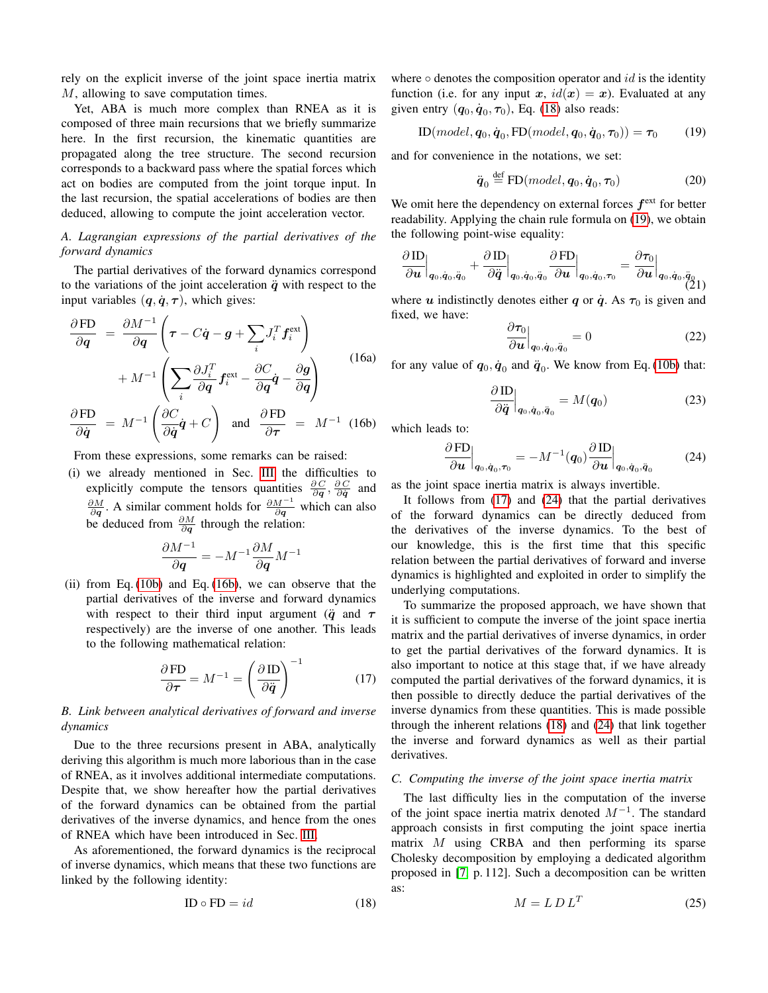rely on the explicit inverse of the joint space inertia matrix M, allowing to save computation times.

Yet, ABA is much more complex than RNEA as it is composed of three main recursions that we briefly summarize here. In the first recursion, the kinematic quantities are propagated along the tree structure. The second recursion corresponds to a backward pass where the spatial forces which act on bodies are computed from the joint torque input. In the last recursion, the spatial accelerations of bodies are then deduced, allowing to compute the joint acceleration vector.

## *A. Lagrangian expressions of the partial derivatives of the forward dynamics*

The partial derivatives of the forward dynamics correspond to the variations of the joint acceleration  $\ddot{q}$  with respect to the input variables  $(q, \dot{q}, \tau)$ , which gives:

$$
\frac{\partial FD}{\partial q} = \frac{\partial M^{-1}}{\partial q} \left( \tau - C\dot{q} - g + \sum_{i} J_{i}^{T} f_{i}^{\text{ext}} \right) + M^{-1} \left( \sum_{i} \frac{\partial J_{i}^{T}}{\partial q} f_{i}^{\text{ext}} - \frac{\partial C}{\partial q} \dot{q} - \frac{\partial g}{\partial q} \right)
$$
\n(16a)

 $\partial$  FD  $\frac{\partial {\rm FD}}{\partial \dot{q}} \; = \; M^{-1} \left( \frac{\partial C}{\partial \dot{q}} \right)$  $\frac{\partial^2 \mathbf{G}}{\partial \dot{\mathbf{q}}} \dot{\mathbf{q}} + C$  $\setminus$ and  $\frac{\partial FD}{\partial}$  $rac{\partial F}{\partial \tau} = M^{-1}$  (16b)

From these expressions, some remarks can be raised:

(i) we already mentioned in Sec. [III](#page-2-0) the difficulties to explicitly compute the tensors quantities  $\frac{\partial C}{\partial q}$ ,  $\frac{\partial C}{\partial \dot{q}}$  and  $\frac{\partial M}{\partial q}$ . A similar comment holds for  $\frac{\partial M^{-1}}{\partial q}$  which can also be deduced from  $\frac{\partial M}{\partial q}$  through the relation:

$$
\frac{\partial M^{-1}}{\partial \boldsymbol{q}} = -M^{-1}\frac{\partial M}{\partial \boldsymbol{q}}M^{-1}
$$

(ii) from Eq.  $(10b)$  and Eq.  $(16b)$ , we can observe that the partial derivatives of the inverse and forward dynamics with respect to their third input argument ( $\ddot{q}$  and  $\tau$ respectively) are the inverse of one another. This leads to the following mathematical relation:

$$
\frac{\partial \operatorname{FD}}{\partial \tau} = M^{-1} = \left(\frac{\partial \operatorname{ID}}{\partial \ddot{q}}\right)^{-1} \tag{17}
$$

## <span id="page-5-6"></span>*B. Link between analytical derivatives of forward and inverse dynamics*

Due to the three recursions present in ABA, analytically deriving this algorithm is much more laborious than in the case of RNEA, as it involves additional intermediate computations. Despite that, we show hereafter how the partial derivatives of the forward dynamics can be obtained from the partial derivatives of the inverse dynamics, and hence from the ones of RNEA which have been introduced in Sec. [III.](#page-2-0)

As aforementioned, the forward dynamics is the reciprocal of inverse dynamics, which means that these two functions are linked by the following identity:

<span id="page-5-1"></span>
$$
ID \circ FD = id \tag{18}
$$

where  $\circ$  denotes the composition operator and *id* is the identity function (i.e. for any input x,  $id(x) = x$ ). Evaluated at any given entry  $(q_0, \dot{q}_0, \tau_0)$ , Eq. [\(18\)](#page-5-1) also reads:

$$
\text{ID}(model, \boldsymbol{q}_0, \dot{\boldsymbol{q}}_0, \text{FD}(model, \boldsymbol{q}_0, \dot{\boldsymbol{q}}_0, \boldsymbol{\tau}_0)) = \boldsymbol{\tau}_0 \tag{19}
$$

and for convenience in the notations, we set:

<span id="page-5-2"></span>
$$
\ddot{\boldsymbol{q}}_0 \stackrel{\text{def}}{=} \text{FD}(model, \boldsymbol{q}_0, \dot{\boldsymbol{q}}_0, \boldsymbol{\tau}_0)
$$
 (20)

We omit here the dependency on external forces  $f^{\text{ext}}$  for better readability. Applying the chain rule formula on [\(19\)](#page-5-2), we obtain the following point-wise equality:

$$
\frac{\partial \operatorname{ID}}{\partial \boldsymbol{u}} \Big|_{\boldsymbol{q}_0,\dot{\boldsymbol{q}}_0,\ddot{\boldsymbol{q}}_0} + \frac{\partial \operatorname{ID}}{\partial \ddot{\boldsymbol{q}}} \Big|_{\boldsymbol{q}_0,\dot{\boldsymbol{q}}_0,\ddot{\boldsymbol{q}}_0} \frac{\partial \operatorname{FD}}{\partial \boldsymbol{u}} \Big|_{\boldsymbol{q}_0,\dot{\boldsymbol{q}}_0,\boldsymbol{\tau}_0} = \frac{\partial \tau_0}{\partial \boldsymbol{u}} \Big|_{\boldsymbol{q}_0,\dot{\boldsymbol{q}}_0,\ddot{\boldsymbol{q}}_0} \hspace{1in} \tag{21}
$$

where u indistinctly denotes either q or  $\dot{q}$ . As  $\tau_0$  is given and fixed, we have:

$$
\left. \frac{\partial \tau_0}{\partial u} \right|_{\mathbf{q}_0, \dot{\mathbf{q}}_0, \ddot{\mathbf{q}}_0} = 0 \tag{22}
$$

for any value of  $q_0, \dot{q}_0$  and  $\ddot{q}_0$ . We know from Eq. [\(10b\)](#page-2-5) that:

<span id="page-5-4"></span>
$$
\frac{\partial \operatorname{ID}}{\partial \ddot{\boldsymbol{q}}}\Big|_{\boldsymbol{q}_0, \dot{\boldsymbol{q}}_0, \ddot{\boldsymbol{q}}_0} = M(\boldsymbol{q}_0) \tag{23}
$$

<span id="page-5-0"></span>which leads to:

$$
\left. \frac{\partial \operatorname{FD}}{\partial u} \right|_{\boldsymbol{q}_0, \dot{\boldsymbol{q}}_0, \boldsymbol{\tau}_0} = -M^{-1}(\boldsymbol{q}_0) \frac{\partial \operatorname{ID}}{\partial u} \Big|_{\boldsymbol{q}_0, \dot{\boldsymbol{q}}_0, \ddot{\boldsymbol{q}}_0} \tag{24}
$$

as the joint space inertia matrix is always invertible.

It follows from [\(17\)](#page-5-3) and [\(24\)](#page-5-4) that the partial derivatives of the forward dynamics can be directly deduced from the derivatives of the inverse dynamics. To the best of our knowledge, this is the first time that this specific relation between the partial derivatives of forward and inverse dynamics is highlighted and exploited in order to simplify the underlying computations.

<span id="page-5-3"></span>To summarize the proposed approach, we have shown that it is sufficient to compute the inverse of the joint space inertia matrix and the partial derivatives of inverse dynamics, in order to get the partial derivatives of the forward dynamics. It is also important to notice at this stage that, if we have already computed the partial derivatives of the forward dynamics, it is then possible to directly deduce the partial derivatives of the inverse dynamics from these quantities. This is made possible through the inherent relations [\(18\)](#page-5-1) and [\(24\)](#page-5-4) that link together the inverse and forward dynamics as well as their partial derivatives.

## *C. Computing the inverse of the joint space inertia matrix*

<span id="page-5-5"></span>The last difficulty lies in the computation of the inverse of the joint space inertia matrix denoted  $M^{-1}$ . The standard approach consists in first computing the joint space inertia matrix M using CRBA and then performing its sparse Cholesky decomposition by employing a dedicated algorithm proposed in [\[7,](#page-8-0) p. 112]. Such a decomposition can be written as:

$$
M = L D L^T \tag{25}
$$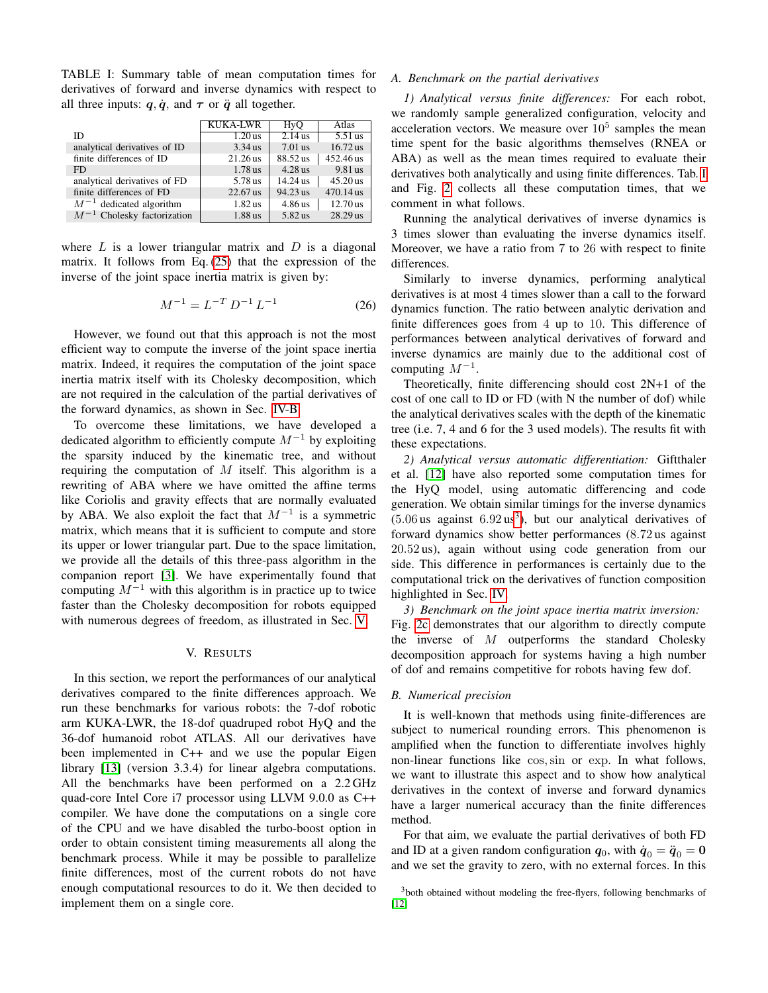<span id="page-6-1"></span>TABLE I: Summary table of mean computation times for derivatives of forward and inverse dynamics with respect to all three inputs:  $q, \dot{q}$ , and  $\tau$  or  $\ddot{q}$  all together.

|                                 | <b>KUKA-LWR</b> | HyQ        | Atlas      |
|---------------------------------|-----------------|------------|------------|
| ID                              | $1.20$ us       | $2.14$ us  | $5.51$ us  |
| analytical derivatives of ID    | $3.34$ us       | $7.01$ us  | $16.72$ us |
| finite differences of ID        | $21.26$ us      | 88.52 us   | 452.46 us  |
| FD.                             | $1.78$ us       | $4.28$ us  | 9.81 us    |
| analytical derivatives of FD    | 5.78 us         | $14.24$ us | $45.20$ us |
| finite differences of FD        | 22.67 us        | 94.23 us   | 470.14 us  |
| $M^{-1}$ dedicated algorithm    | $1.82$ us       | 4.86 us    | $12.70$ us |
| $M^{-1}$ Cholesky factorization | 1.88 us         | 5.82 us    | 28.29 us   |

where  $L$  is a lower triangular matrix and  $D$  is a diagonal matrix. It follows from Eq. [\(25\)](#page-5-5) that the expression of the inverse of the joint space inertia matrix is given by:

$$
M^{-1} = L^{-T} D^{-1} L^{-1}
$$
 (26)

However, we found out that this approach is not the most efficient way to compute the inverse of the joint space inertia matrix. Indeed, it requires the computation of the joint space inertia matrix itself with its Cholesky decomposition, which are not required in the calculation of the partial derivatives of the forward dynamics, as shown in Sec. [IV-B.](#page-5-6)

To overcome these limitations, we have developed a dedicated algorithm to efficiently compute  $M^{-1}$  by exploiting the sparsity induced by the kinematic tree, and without requiring the computation of  $M$  itself. This algorithm is a rewriting of ABA where we have omitted the affine terms like Coriolis and gravity effects that are normally evaluated by ABA. We also exploit the fact that  $M^{-1}$  is a symmetric matrix, which means that it is sufficient to compute and store its upper or lower triangular part. Due to the space limitation, we provide all the details of this three-pass algorithm in the companion report [\[3\]](#page-8-19). We have experimentally found that computing  $M^{-1}$  with this algorithm is in practice up to twice faster than the Cholesky decomposition for robots equipped with numerous degrees of freedom, as illustrated in Sec. [V.](#page-6-0)

## V. RESULTS

<span id="page-6-0"></span>In this section, we report the performances of our analytical derivatives compared to the finite differences approach. We run these benchmarks for various robots: the 7-dof robotic arm KUKA-LWR, the 18-dof quadruped robot HyQ and the 36-dof humanoid robot ATLAS. All our derivatives have been implemented in C++ and we use the popular Eigen library [\[13\]](#page-8-20) (version 3.3.4) for linear algebra computations. All the benchmarks have been performed on a 2.2 GHz quad-core Intel Core i7 processor using LLVM 9.0.0 as C++ compiler. We have done the computations on a single core of the CPU and we have disabled the turbo-boost option in order to obtain consistent timing measurements all along the benchmark process. While it may be possible to parallelize finite differences, most of the current robots do not have enough computational resources to do it. We then decided to implement them on a single core.

#### *A. Benchmark on the partial derivatives*

*1) Analytical versus finite differences:* For each robot, we randomly sample generalized configuration, velocity and acceleration vectors. We measure over  $10<sup>5</sup>$  samples the mean time spent for the basic algorithms themselves (RNEA or ABA) as well as the mean times required to evaluate their derivatives both analytically and using finite differences. Tab. [I](#page-6-1) and Fig. [2](#page-7-0) collects all these computation times, that we comment in what follows.

Running the analytical derivatives of inverse dynamics is 3 times slower than evaluating the inverse dynamics itself. Moreover, we have a ratio from 7 to 26 with respect to finite differences.

Similarly to inverse dynamics, performing analytical derivatives is at most 4 times slower than a call to the forward dynamics function. The ratio between analytic derivation and finite differences goes from 4 up to 10. This difference of performances between analytical derivatives of forward and inverse dynamics are mainly due to the additional cost of computing  $M^{-1}$ .

Theoretically, finite differencing should cost 2N+1 of the cost of one call to ID or FD (with N the number of dof) while the analytical derivatives scales with the depth of the kinematic tree (i.e. 7, 4 and 6 for the 3 used models). The results fit with these expectations.

*2) Analytical versus automatic differentiation:* Giftthaler et al. [\[12\]](#page-8-11) have also reported some computation times for the HyQ model, using automatic differencing and code generation. We obtain similar timings for the inverse dynamics  $(5.06 \text{ us against } 6.92 \text{ us}^3)$  $(5.06 \text{ us against } 6.92 \text{ us}^3)$  $(5.06 \text{ us against } 6.92 \text{ us}^3)$ , but our analytical derivatives of forward dynamics show better performances (8.72 us against 20.52 us), again without using code generation from our side. This difference in performances is certainly due to the computational trick on the derivatives of function composition highlighted in Sec. [IV.](#page-4-0)

*3) Benchmark on the joint space inertia matrix inversion:* Fig. [2c](#page-7-1) demonstrates that our algorithm to directly compute the inverse of  $M$  outperforms the standard Cholesky decomposition approach for systems having a high number of dof and remains competitive for robots having few dof.

#### *B. Numerical precision*

It is well-known that methods using finite-differences are subject to numerical rounding errors. This phenomenon is amplified when the function to differentiate involves highly non-linear functions like cos,sin or exp. In what follows, we want to illustrate this aspect and to show how analytical derivatives in the context of inverse and forward dynamics have a larger numerical accuracy than the finite differences method.

For that aim, we evaluate the partial derivatives of both FD and ID at a given random configuration  $q_0$ , with  $\dot{q}_0 = \ddot{q}_0 = 0$ and we set the gravity to zero, with no external forces. In this

<span id="page-6-2"></span><sup>&</sup>lt;sup>3</sup>both obtained without modeling the free-flyers, following benchmarks of [\[12\]](#page-8-11)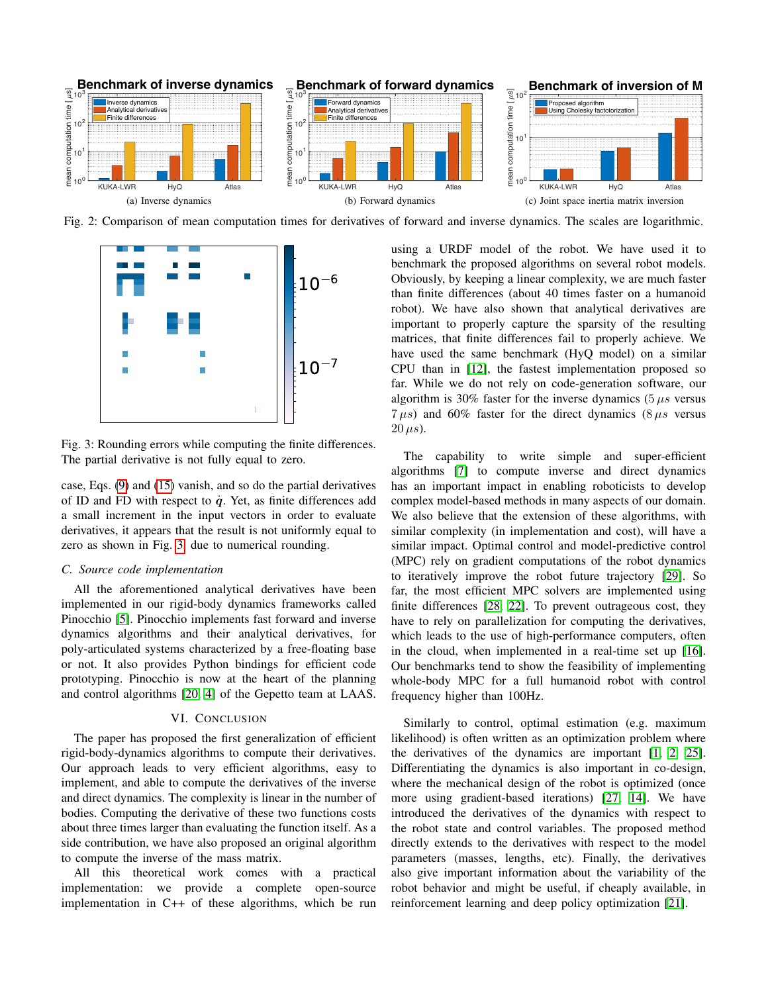<span id="page-7-0"></span>

<span id="page-7-2"></span>Fig. 2: Comparison of mean computation times for derivatives of forward and inverse dynamics. The scales are logarithmic.



Fig. 3: Rounding errors while computing the finite differences. The partial derivative is not fully equal to zero.

case, Eqs. [\(9\)](#page-2-6) and [\(15\)](#page-4-5) vanish, and so do the partial derivatives of ID and FD with respect to  $\dot{q}$ . Yet, as finite differences add a small increment in the input vectors in order to evaluate derivatives, it appears that the result is not uniformly equal to zero as shown in Fig. [3,](#page-7-2) due to numerical rounding.

## *C. Source code implementation*

All the aforementioned analytical derivatives have been implemented in our rigid-body dynamics frameworks called Pinocchio [\[5\]](#page-8-14). Pinocchio implements fast forward and inverse dynamics algorithms and their analytical derivatives, for poly-articulated systems characterized by a free-floating base or not. It also provides Python bindings for efficient code prototyping. Pinocchio is now at the heart of the planning and control algorithms [\[20,](#page-8-21) [4\]](#page-8-22) of the Gepetto team at LAAS.

## VI. CONCLUSION

The paper has proposed the first generalization of efficient rigid-body-dynamics algorithms to compute their derivatives. Our approach leads to very efficient algorithms, easy to implement, and able to compute the derivatives of the inverse and direct dynamics. The complexity is linear in the number of bodies. Computing the derivative of these two functions costs about three times larger than evaluating the function itself. As a side contribution, we have also proposed an original algorithm to compute the inverse of the mass matrix.

All this theoretical work comes with a practical implementation: we provide a complete open-source implementation in C++ of these algorithms, which be run <span id="page-7-1"></span>using a URDF model of the robot. We have used it to benchmark the proposed algorithms on several robot models. Obviously, by keeping a linear complexity, we are much faster than finite differences (about 40 times faster on a humanoid robot). We have also shown that analytical derivatives are important to properly capture the sparsity of the resulting matrices, that finite differences fail to properly achieve. We have used the same benchmark (HyQ model) on a similar CPU than in [\[12\]](#page-8-11), the fastest implementation proposed so far. While we do not rely on code-generation software, our algorithm is 30% faster for the inverse dynamics  $(5 \mu s \text{ versus}$  $7 \mu s$ ) and 60% faster for the direct dynamics (8  $\mu s$  versus  $20 \,\mu s$ ).

The capability to write simple and super-efficient algorithms [\[7\]](#page-8-0) to compute inverse and direct dynamics has an important impact in enabling roboticists to develop complex model-based methods in many aspects of our domain. We also believe that the extension of these algorithms, with similar complexity (in implementation and cost), will have a similar impact. Optimal control and model-predictive control (MPC) rely on gradient computations of the robot dynamics to iteratively improve the robot future trajectory [\[29\]](#page-9-1). So far, the most efficient MPC solvers are implemented using finite differences [\[28,](#page-9-0) [22\]](#page-8-6). To prevent outrageous cost, they have to rely on parallelization for computing the derivatives, which leads to the use of high-performance computers, often in the cloud, when implemented in a real-time set up [\[16\]](#page-8-5). Our benchmarks tend to show the feasibility of implementing whole-body MPC for a full humanoid robot with control frequency higher than 100Hz.

Similarly to control, optimal estimation (e.g. maximum likelihood) is often written as an optimization problem where the derivatives of the dynamics are important [\[1,](#page-8-23) [2,](#page-8-24) [25\]](#page-8-25). Differentiating the dynamics is also important in co-design, where the mechanical design of the robot is optimized (once more using gradient-based iterations) [\[27,](#page-8-7) [14\]](#page-8-9). We have introduced the derivatives of the dynamics with respect to the robot state and control variables. The proposed method directly extends to the derivatives with respect to the model parameters (masses, lengths, etc). Finally, the derivatives also give important information about the variability of the robot behavior and might be useful, if cheaply available, in reinforcement learning and deep policy optimization [\[21\]](#page-8-26).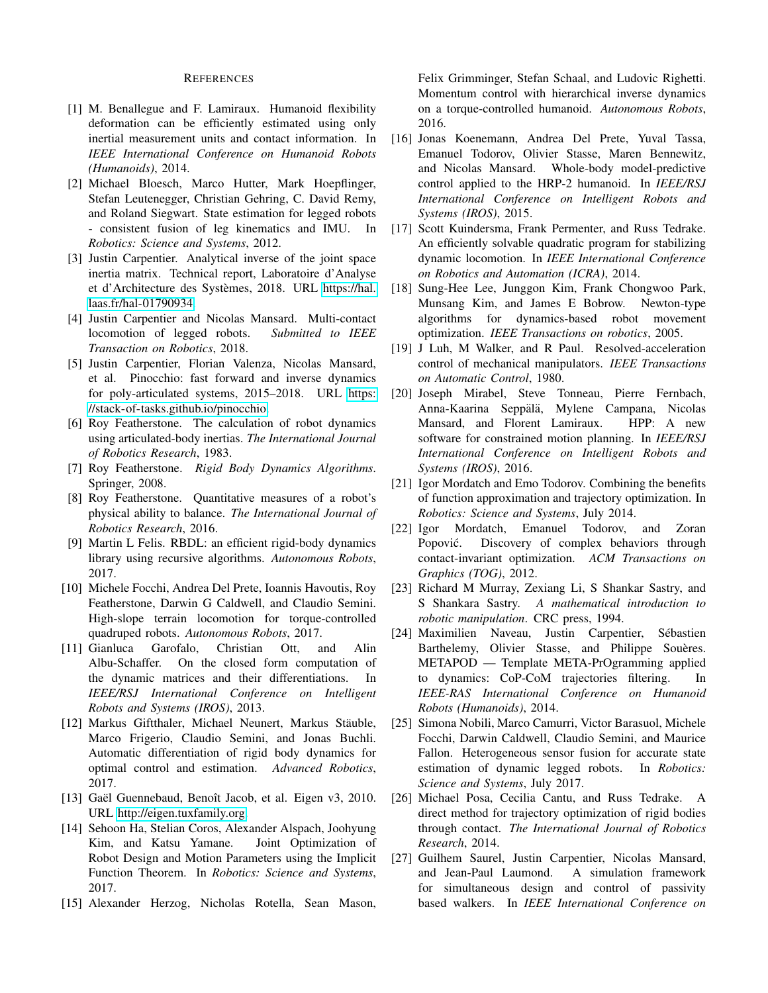#### REFERENCES

- <span id="page-8-23"></span>[1] M. Benallegue and F. Lamiraux. Humanoid flexibility deformation can be efficiently estimated using only inertial measurement units and contact information. In *IEEE International Conference on Humanoid Robots (Humanoids)*, 2014.
- <span id="page-8-24"></span>[2] Michael Bloesch, Marco Hutter, Mark Hoepflinger, Stefan Leutenegger, Christian Gehring, C. David Remy, and Roland Siegwart. State estimation for legged robots - consistent fusion of leg kinematics and IMU. In *Robotics: Science and Systems*, 2012.
- <span id="page-8-19"></span>[3] Justin Carpentier. Analytical inverse of the joint space inertia matrix. Technical report, Laboratoire d'Analyse et d'Architecture des Systemes, 2018. URL [https://hal.](https://hal.laas.fr/hal-01790934) ` [laas.fr/hal-01790934.](https://hal.laas.fr/hal-01790934)
- <span id="page-8-22"></span>[4] Justin Carpentier and Nicolas Mansard. Multi-contact locomotion of legged robots. *Submitted to IEEE Transaction on Robotics*, 2018.
- <span id="page-8-14"></span>[5] Justin Carpentier, Florian Valenza, Nicolas Mansard, et al. Pinocchio: fast forward and inverse dynamics for poly-articulated systems, 2015–2018. URL [https:](https://stack-of-tasks.github.io/pinocchio) [//stack-of-tasks.github.io/pinocchio.](https://stack-of-tasks.github.io/pinocchio)
- <span id="page-8-18"></span>[6] Roy Featherstone. The calculation of robot dynamics using articulated-body inertias. *The International Journal of Robotics Research*, 1983.
- <span id="page-8-0"></span>[7] Roy Featherstone. *Rigid Body Dynamics Algorithms*. Springer, 2008.
- <span id="page-8-8"></span>[8] Roy Featherstone. Quantitative measures of a robot's physical ability to balance. *The International Journal of Robotics Research*, 2016.
- <span id="page-8-15"></span>[9] Martin L Felis. RBDL: an efficient rigid-body dynamics library using recursive algorithms. *Autonomous Robots*, 2017.
- <span id="page-8-1"></span>[10] Michele Focchi, Andrea Del Prete, Ioannis Havoutis, Roy Featherstone, Darwin G Caldwell, and Claudio Semini. High-slope terrain locomotion for torque-controlled quadruped robots. *Autonomous Robots*, 2017.
- <span id="page-8-10"></span>[11] Gianluca Garofalo, Christian Ott, and Alin Albu-Schaffer. On the closed form computation of the dynamic matrices and their differentiations. In *IEEE/RSJ International Conference on Intelligent Robots and Systems (IROS)*, 2013.
- <span id="page-8-11"></span>[12] Markus Giftthaler, Michael Neunert, Markus Stäuble, Marco Frigerio, Claudio Semini, and Jonas Buchli. Automatic differentiation of rigid body dynamics for optimal control and estimation. *Advanced Robotics*, 2017.
- <span id="page-8-20"></span>[13] Gaël Guennebaud, Benoît Jacob, et al. Eigen v3, 2010. URL [http://eigen.tuxfamily.org.](http://eigen.tuxfamily.org)
- <span id="page-8-9"></span>[14] Sehoon Ha, Stelian Coros, Alexander Alspach, Joohyung Kim, and Katsu Yamane. Joint Optimization of Robot Design and Motion Parameters using the Implicit Function Theorem. In *Robotics: Science and Systems*, 2017.
- <span id="page-8-2"></span>[15] Alexander Herzog, Nicholas Rotella, Sean Mason,

Felix Grimminger, Stefan Schaal, and Ludovic Righetti. Momentum control with hierarchical inverse dynamics on a torque-controlled humanoid. *Autonomous Robots*, 2016.

- <span id="page-8-5"></span>[16] Jonas Koenemann, Andrea Del Prete, Yuval Tassa, Emanuel Todorov, Olivier Stasse, Maren Bennewitz, and Nicolas Mansard. Whole-body model-predictive control applied to the HRP-2 humanoid. In *IEEE/RSJ International Conference on Intelligent Robots and Systems (IROS)*, 2015.
- <span id="page-8-3"></span>[17] Scott Kuindersma, Frank Permenter, and Russ Tedrake. An efficiently solvable quadratic program for stabilizing dynamic locomotion. In *IEEE International Conference on Robotics and Automation (ICRA)*, 2014.
- <span id="page-8-12"></span>[18] Sung-Hee Lee, Junggon Kim, Frank Chongwoo Park, Munsang Kim, and James E Bobrow. Newton-type algorithms for dynamics-based robot movement optimization. *IEEE Transactions on robotics*, 2005.
- <span id="page-8-13"></span>[19] J Luh, M Walker, and R Paul. Resolved-acceleration control of mechanical manipulators. *IEEE Transactions on Automatic Control*, 1980.
- <span id="page-8-21"></span>[20] Joseph Mirabel, Steve Tonneau, Pierre Fernbach, Anna-Kaarina Seppälä, Mylene Campana, Nicolas Mansard, and Florent Lamiraux. HPP: A new software for constrained motion planning. In *IEEE/RSJ International Conference on Intelligent Robots and Systems (IROS)*, 2016.
- <span id="page-8-26"></span>[21] Igor Mordatch and Emo Todorov. Combining the benefits of function approximation and trajectory optimization. In *Robotics: Science and Systems*, July 2014.
- <span id="page-8-6"></span>[22] Igor Mordatch, Emanuel Todorov, and Zoran Popović. Discovery of complex behaviors through contact-invariant optimization. *ACM Transactions on Graphics (TOG)*, 2012.
- <span id="page-8-17"></span>[23] Richard M Murray, Zexiang Li, S Shankar Sastry, and S Shankara Sastry. *A mathematical introduction to robotic manipulation*. CRC press, 1994.
- <span id="page-8-16"></span>[24] Maximilien Naveau, Justin Carpentier, Sebastien ´ Barthelemy, Olivier Stasse, and Philippe Souères. METAPOD — Template META-PrOgramming applied to dynamics: CoP-CoM trajectories filtering. In *IEEE-RAS International Conference on Humanoid Robots (Humanoids)*, 2014.
- <span id="page-8-25"></span>[25] Simona Nobili, Marco Camurri, Victor Barasuol, Michele Focchi, Darwin Caldwell, Claudio Semini, and Maurice Fallon. Heterogeneous sensor fusion for accurate state estimation of dynamic legged robots. In *Robotics: Science and Systems*, July 2017.
- <span id="page-8-4"></span>[26] Michael Posa, Cecilia Cantu, and Russ Tedrake. A direct method for trajectory optimization of rigid bodies through contact. *The International Journal of Robotics Research*, 2014.
- <span id="page-8-7"></span>[27] Guilhem Saurel, Justin Carpentier, Nicolas Mansard, and Jean-Paul Laumond. A simulation framework for simultaneous design and control of passivity based walkers. In *IEEE International Conference on*